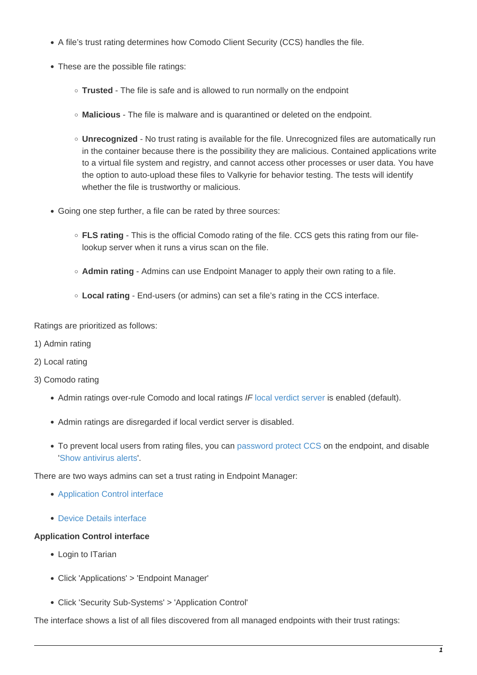- A file's trust rating determines how Comodo Client Security (CCS) handles the file.
- These are the possible file ratings:
	- **Trusted** The file is safe and is allowed to run normally on the endpoint
	- **Malicious** The file is malware and is quarantined or deleted on the endpoint.
	- **Unrecognized** No trust rating is available for the file. Unrecognized files are automatically run in the container because there is the possibility they are malicious. Contained applications write to a virtual file system and registry, and cannot access other processes or user data. You have the option to auto-upload these files to Valkyrie for behavior testing. The tests will identify whether the file is trustworthy or malicious.
- Going one step further, a file can be rated by three sources:
	- **FLS rating** This is the official Comodo rating of the file. CCS gets this rating from our filelookup server when it runs a virus scan on the file.
	- **Admin rating** Admins can use Endpoint Manager to apply their own rating to a file.
	- **Local rating** End-users (or admins) can set a file's rating in the CCS interface.

Ratings are prioritized as follows:

- 1) Admin rating
- 2) Local rating
- 3) Comodo rating
	- Admin ratings over-rule Comodo and local ratings IF [local verdict server](https://community.itarian.com/help/topic-459-1-1005-14922-File-Rating-Settings.html#local_verdict_server_settings) is enabled (default).
	- Admin ratings are disregarded if local verdict server is disabled.
	- To prevent local users from rating files, you can [password protect CCS](https://community.itarian.com/help/topic-459-1-1005-14934-Client-Access-Control.html) on the endpoint, and disable '[Show antivirus alerts](http://wiki.itarian.com/frontend/web/topic/how-to-configure-antivirus-settings-in-a-windows-profile#realtime_scan)'.

There are two ways admins can set a trust rating in Endpoint Manager:

- [Application Control interface](#page-0-0)
- [Device Details interface](#page-2-0)

## <span id="page-0-0"></span>**Application Control interface**

- Login to ITarian
- Click 'Applications' > 'Endpoint Manager'
- Click 'Security Sub-Systems' > 'Application Control'

The interface shows a list of all files discovered from all managed endpoints with their trust ratings: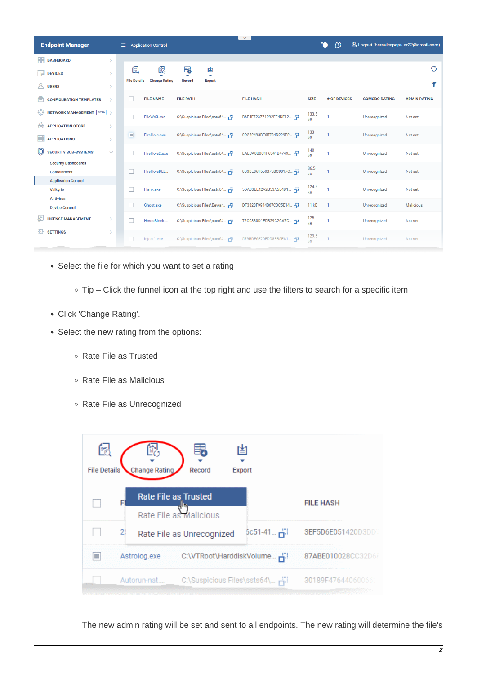| <b>Endpoint Manager</b>                          |               | Ξ.                  | <b>Application Control</b> |                  |                                | $\vee$                |             | đ<br>$\Omega$ | A Logout (herculespopular22@gmail.com) |                     |
|--------------------------------------------------|---------------|---------------------|----------------------------|------------------|--------------------------------|-----------------------|-------------|---------------|----------------------------------------|---------------------|
| 嘂<br><b>DASHBOARD</b>                            |               |                     |                            |                  |                                |                       |             |               |                                        |                     |
| ا⊧ٍה<br><b>DEVICES</b>                           | $\rightarrow$ | 偈                   | 酿                          | 的<br>٠           | 凷<br>$\overline{\mathbf{v}}$   |                       |             |               |                                        | Ø                   |
| Α<br><b>USERS</b>                                | $\rightarrow$ | <b>File Details</b> | <b>Change Rating</b>       | <b>Record</b>    | <b>Export</b>                  |                       |             |               |                                        |                     |
| Ā<br><b>CONFIGURATION TEMPLATES</b>              |               |                     | <b>FILE NAME</b>           | <b>FILE PATH</b> |                                | <b>FILE HASH</b>      | <b>SIZE</b> | # OF DEVICES  | <b>COMODO RATING</b>                   | <b>ADMIN RATING</b> |
| 63<br><b>NETWORK MANAGEMENT BETA</b>             |               | $\Box$              | FileWri3.exe               |                  | C:\Suspicious Files\ssts64 Fil | B6F4F723771292EF4DF12 | 133.5<br>kB |               | Unrecognized                           | Not set             |
| <b>APPLICATION STORE</b><br>白                    | $\rightarrow$ |                     |                            |                  |                                |                       | 133         |               |                                        |                     |
| ₩<br><b>APPLICATIONS</b>                         |               | $\Box$              | FireHole.exe               |                  | C:\Suspicious Files\ssts64 Fil | 0D252493BE65734D229F2 | kB          |               | Unrecognized                           | Not set             |
| <b>SECURITY SUB-SYSTEMS</b>                      | $\checkmark$  |                     | FireHole2.exe              |                  | C:\Suspicious Files\ssts64 F   | EAECA0B0C1F6341B4749  | 140<br>kB   |               | Unrecognized                           | Not set             |
| <b>Security Dashboards</b><br><b>Containment</b> |               | L.                  | FireHoleDLL                |                  | C:\Suspicious Files\ssts64 F   | 0B3BE861550375BC9817C | 86.5        |               | Unrecognized                           | Not set             |
| <b>Application Control</b>                       |               |                     |                            |                  |                                |                       | kB          |               |                                        |                     |
| <b>Valkyrie</b>                                  |               |                     | Flank.exe                  |                  | C:\Suspicious Files\ssts64 Fil | 5DA83EE42A2B53A5E4D1  | 124.5<br>kB |               | Unrecognized                           | Not set             |
| <b>Antivirus</b><br><b>Device Control</b>        |               |                     | Ghost.exe                  |                  | C:\Suspicious Files\Bewar F    | DF3328F9944867C3C5E14 | 11 kB       |               | Unrecognized                           | <b>Malicious</b>    |
| <b>LICENSE MANAGEMENT</b>                        |               |                     | HostsBlock                 |                  | C:\Suspicious Files\ssts64 F   | 72C0830D1EDB29C2CA7C  | 125<br>kB   |               | Unrecognized                           | Not set             |
| <b>SETTINGS</b><br>Đ.                            |               |                     | Inject1.exe                |                  | C:\Suspicious Files\ssts64 F   | 579BDE6F20FDD8EB5EA1. | 129.5<br>kB |               | Unrecognized                           | Not set             |

- Select the file for which you want to set a rating
	- Tip Click the funnel icon at the top right and use the filters to search for a specific item
- Click 'Change Rating'.
- Select the new rating from the options:
	- Rate File as Trusted
	- Rate File as Malicious
	- Rate File as Unrecognized



The new admin rating will be set and sent to all endpoints. The new rating will determine the file's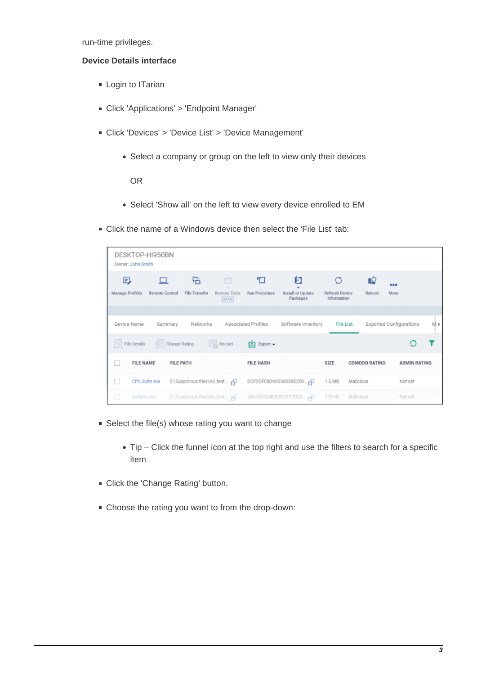run-time privileges.

## <span id="page-2-0"></span>**Device Details interface**

- **Login to ITarian**
- Click 'Applications' > 'Endpoint Manager'
- Click 'Devices' > 'Device List' > 'Device Management'
	- Select a company or group on the left to view only their devices

OR

- Select 'Show all' on the left to view every device enrolled to EM
- Click the name of a Windows device then select the 'File List' tab:

|                      | DESKTOP-HI950BN<br>Owner: John Smith |                    |                                  |                                                 |                                    |                                    |                      |                         |     |
|----------------------|--------------------------------------|--------------------|----------------------------------|-------------------------------------------------|------------------------------------|------------------------------------|----------------------|-------------------------|-----|
| 眇<br>Manage Profiles | Remote Control                       | 댐<br>File Transfer | 泊<br>Remote Tools<br><b>BETA</b> | 可<br>Run Procedure                              | 同<br>Install or Update<br>Packages | Ø<br>Refresh Device<br>Information | Reboot               | <br>More                |     |
| Device Name          |                                      | Summary            | Networks                         | Associated Profiles                             | Software Inventory                 | <b>File List</b>                   |                      | Exported Configurations | M » |
| File Details         |                                      |                    | Change Rating - Record -         | $\left[\frac{1}{2}\right]$ Export $\rightarrow$ |                                    |                                    |                      |                         |     |
|                      | <b>FILE NAME</b>                     | <b>FILE PATH</b>   |                                  | <b>FILE HASH</b>                                |                                    | SIZE                               | <b>COMODO RATING</b> | <b>ADMIN RATING</b>     |     |
| ш                    | CPILSuite.exe                        |                    | E:\Suspicious files\All_test --  |                                                 | DCF2DFCB39003683BE2E0              | 1.5 MB                             | Malicious            | Not set                 |     |
| □                    | pcflank.exe                          |                    |                                  |                                                 |                                    | 176 kB                             | Malicious            | Not set                 |     |

- Select the file(s) whose rating you want to change
	- Tip Click the funnel icon at the top right and use the filters to search for a specific item
- **Click the 'Change Rating' button.**
- Choose the rating you want to from the drop-down: